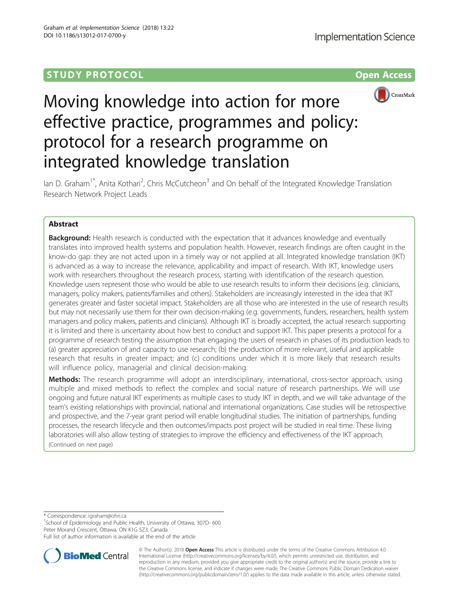

# Moving knowledge into action for more effective practice, programmes and policy: protocol for a research programme on integrated knowledge translation

lan D. Graham<sup>1\*</sup>, Anita Kothari<sup>2</sup>, Chris McCutcheon<sup>3</sup> and On behalf of the Integrated Knowledge Translation Research Network Project Leads

# Abstract

**Background:** Health research is conducted with the expectation that it advances knowledge and eventually translates into improved health systems and population health. However, research findings are often caught in the know-do gap: they are not acted upon in a timely way or not applied at all. Integrated knowledge translation (IKT) is advanced as a way to increase the relevance, applicability and impact of research. With IKT, knowledge users work with researchers throughout the research process, starting with identification of the research question. Knowledge users represent those who would be able to use research results to inform their decisions (e.g. clinicians, managers, policy makers, patients/families and others). Stakeholders are increasingly interested in the idea that IKT generates greater and faster societal impact. Stakeholders are all those who are interested in the use of research results but may not necessarily use them for their own decision-making (e.g. governments, funders, researchers, health system managers and policy makers, patients and clinicians). Although IKT is broadly accepted, the actual research supporting it is limited and there is uncertainty about how best to conduct and support IKT. This paper presents a protocol for a programme of research testing the assumption that engaging the users of research in phases of its production leads to (a) greater appreciation of and capacity to use research; (b) the production of more relevant, useful and applicable research that results in greater impact; and (c) conditions under which it is more likely that research results will influence policy, managerial and clinical decision-making.

Methods: The research programme will adopt an interdisciplinary, international, cross-sector approach, using multiple and mixed methods to reflect the complex and social nature of research partnerships. We will use ongoing and future natural IKT experiments as multiple cases to study IKT in depth, and we will take advantage of the team's existing relationships with provincial, national and international organizations. Case studies will be retrospective and prospective, and the 7-year grant period will enable longitudinal studies. The initiation of partnerships, funding processes, the research lifecycle and then outcomes/impacts post project will be studied in real time. These living laboratories will also allow testing of strategies to improve the efficiency and effectiveness of the IKT approach. (Continued on next page)

\* Correspondence: [igraham@ohri.ca](mailto:igraham@ohri.ca) <sup>1</sup>

<sup>1</sup>School of Epidemiology and Public Health, University of Ottawa, 307D- 600 Peter Morand Crescent, Ottawa, ON K1G 5Z3, Canada

Full list of author information is available at the end of the article



© The Author(s). 2018 Open Access This article is distributed under the terms of the Creative Commons Attribution 4.0 International License [\(http://creativecommons.org/licenses/by/4.0/](http://creativecommons.org/licenses/by/4.0/)), which permits unrestricted use, distribution, and reproduction in any medium, provided you give appropriate credit to the original author(s) and the source, provide a link to the Creative Commons license, and indicate if changes were made. The Creative Commons Public Domain Dedication waiver [\(http://creativecommons.org/publicdomain/zero/1.0/](http://creativecommons.org/publicdomain/zero/1.0/)) applies to the data made available in this article, unless otherwise stated.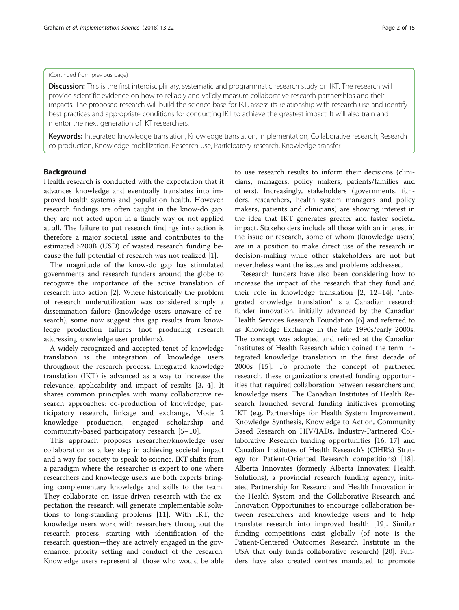# (Continued from previous page)

**Discussion:** This is the first interdisciplinary, systematic and programmatic research study on IKT. The research will provide scientific evidence on how to reliably and validly measure collaborative research partnerships and their impacts. The proposed research will build the science base for IKT, assess its relationship with research use and identify best practices and appropriate conditions for conducting IKT to achieve the greatest impact. It will also train and mentor the next generation of IKT researchers.

Keywords: Integrated knowledge translation, Knowledge translation, Implementation, Collaborative research, Research co-production, Knowledge mobilization, Research use, Participatory research, Knowledge transfer

# **Background**

Health research is conducted with the expectation that it advances knowledge and eventually translates into improved health systems and population health. However, research findings are often caught in the know-do gap: they are not acted upon in a timely way or not applied at all. The failure to put research findings into action is therefore a major societal issue and contributes to the estimated \$200B (USD) of wasted research funding because the full potential of research was not realized [\[1](#page-13-0)].

The magnitude of the know-do gap has stimulated governments and research funders around the globe to recognize the importance of the active translation of research into action [\[2](#page-13-0)]. Where historically the problem of research underutilization was considered simply a dissemination failure (knowledge users unaware of research), some now suggest this gap results from knowledge production failures (not producing research addressing knowledge user problems).

A widely recognized and accepted tenet of knowledge translation is the integration of knowledge users throughout the research process. Integrated knowledge translation (IKT) is advanced as a way to increase the relevance, applicability and impact of results [[3, 4\]](#page-13-0). It shares common principles with many collaborative research approaches: co-production of knowledge, participatory research, linkage and exchange, Mode 2 knowledge production, engaged scholarship and community-based participatory research [\[5](#page-13-0)–[10](#page-13-0)].

This approach proposes researcher/knowledge user collaboration as a key step in achieving societal impact and a way for society to speak to science. IKT shifts from a paradigm where the researcher is expert to one where researchers and knowledge users are both experts bringing complementary knowledge and skills to the team. They collaborate on issue-driven research with the expectation the research will generate implementable solutions to long-standing problems [\[11\]](#page-13-0). With IKT, the knowledge users work with researchers throughout the research process, starting with identification of the research question—they are actively engaged in the governance, priority setting and conduct of the research. Knowledge users represent all those who would be able

to use research results to inform their decisions (clinicians, managers, policy makers, patients/families and others). Increasingly, stakeholders (governments, funders, researchers, health system managers and policy makers, patients and clinicians) are showing interest in the idea that IKT generates greater and faster societal impact. Stakeholders include all those with an interest in the issue or research, some of whom (knowledge users) are in a position to make direct use of the research in decision-making while other stakeholders are not but nevertheless want the issues and problems addressed.

Research funders have also been considering how to increase the impact of the research that they fund and their role in knowledge translation [\[2](#page-13-0), [12](#page-13-0)–[14\]](#page-13-0). 'Integrated knowledge translation' is a Canadian research funder innovation, initially advanced by the Canadian Health Services Research Foundation [[6\]](#page-13-0) and referred to as Knowledge Exchange in the late 1990s/early 2000s. The concept was adopted and refined at the Canadian Institutes of Health Research which coined the term integrated knowledge translation in the first decade of 2000s [[15\]](#page-13-0). To promote the concept of partnered research, these organizations created funding opportunities that required collaboration between researchers and knowledge users. The Canadian Institutes of Health Research launched several funding initiatives promoting IKT (e.g. Partnerships for Health System Improvement, Knowledge Synthesis, Knowledge to Action, Community Based Research on HIV/IADs, Industry-Partnered Collaborative Research funding opportunities [\[16, 17\]](#page-13-0) and Canadian Institutes of Health Research's (CIHR's) Strategy for Patient-Oriented Research competitions) [\[18](#page-13-0)]. Alberta Innovates (formerly Alberta Innovates: Health Solutions), a provincial research funding agency, initiated Partnership for Research and Health Innovation in the Health System and the Collaborative Research and Innovation Opportunities to encourage collaboration between researchers and knowledge users and to help translate research into improved health [\[19](#page-13-0)]. Similar funding competitions exist globally (of note is the Patient-Centered Outcomes Research Institute in the USA that only funds collaborative research) [\[20](#page-13-0)]. Funders have also created centres mandated to promote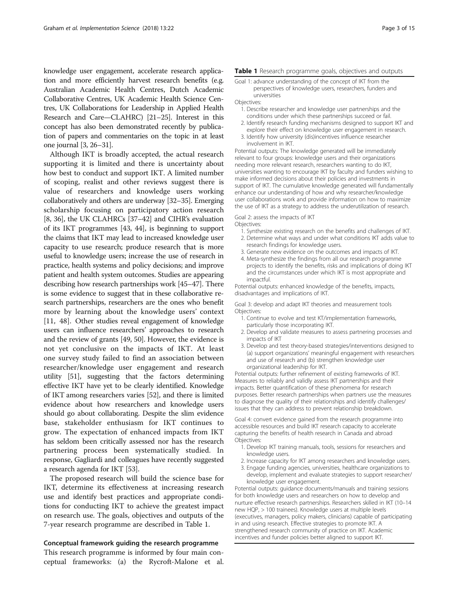knowledge user engagement, accelerate research application and more efficiently harvest research benefits (e.g. Australian Academic Health Centres, Dutch Academic Collaborative Centres, UK Academic Health Science Centres, UK Collaborations for Leadership in Applied Health Research and Care—CLAHRC) [[21](#page-13-0)–[25](#page-13-0)]. Interest in this concept has also been demonstrated recently by publication of papers and commentaries on the topic in at least one journal [\[3](#page-13-0), [26](#page-13-0)–[31\]](#page-13-0).

Although IKT is broadly accepted, the actual research supporting it is limited and there is uncertainty about how best to conduct and support IKT. A limited number of scoping, realist and other reviews suggest there is value of researchers and knowledge users working collaboratively and others are underway [[32](#page-13-0)–[35\]](#page-14-0). Emerging scholarship focusing on participatory action research [[8,](#page-13-0) [36](#page-14-0)], the UK CLAHRCs [\[37](#page-14-0)–[42](#page-14-0)] and CIHR's evaluation of its IKT programmes [\[43](#page-14-0), [44\]](#page-14-0), is beginning to support the claims that IKT may lead to increased knowledge user capacity to use research; produce research that is more useful to knowledge users; increase the use of research in practice, health systems and policy decisions; and improve patient and health system outcomes. Studies are appearing describing how research partnerships work [[45](#page-14-0)–[47\]](#page-14-0). There is some evidence to suggest that in these collaborative research partnerships, researchers are the ones who benefit more by learning about the knowledge users' context [[11,](#page-13-0) [48](#page-14-0)]. Other studies reveal engagement of knowledge users can influence researchers' approaches to research and the review of grants [\[49](#page-14-0), [50\]](#page-14-0). However, the evidence is not yet conclusive on the impacts of IKT. At least one survey study failed to find an association between researcher/knowledge user engagement and research utility [[51](#page-14-0)], suggesting that the factors determining effective IKT have yet to be clearly identified. Knowledge of IKT among researchers varies [[52](#page-14-0)], and there is limited evidence about how researchers and knowledge users should go about collaborating. Despite the slim evidence base, stakeholder enthusiasm for IKT continues to grow. The expectation of enhanced impacts from IKT has seldom been critically assessed nor has the research partnering process been systematically studied. In response, Gagliardi and colleagues have recently suggested a research agenda for IKT [\[53\]](#page-14-0).

The proposed research will build the science base for IKT, determine its effectiveness at increasing research use and identify best practices and appropriate conditions for conducting IKT to achieve the greatest impact on research use. The goals, objectives and outputs of the 7-year research programme are described in Table 1.

#### Conceptual framework guiding the research programme

This research programme is informed by four main conceptual frameworks: (a) the Rycroft-Malone et al.

# Table 1 Research programme goals, objectives and outputs

Goal 1: advance understanding of the concept of IKT from the perspectives of knowledge users, researchers, funders and universities

#### Objectives:

- 1. Describe researcher and knowledge user partnerships and the conditions under which these partnerships succeed or fail.
- 2. Identify research funding mechanisms designed to support IKT and explore their effect on knowledge user engagement in research.
- 3. Identify how university (dis)incentives influence researcher involvement in IKT.

Potential outputs: The knowledge generated will be immediately relevant to four groups: knowledge users and their organizations needing more relevant research, researchers wanting to do IKT, universities wanting to encourage IKT by faculty and funders wishing to make informed decisions about their policies and investments in support of IKT. The cumulative knowledge generated will fundamentally enhance our understanding of how and why researcher/knowledge user collaborations work and provide information on how to maximize the use of IKT as a strategy to address the underutilization of research.

Goal 2: assess the impacts of IKT

- Objectives:
	- 1. Synthesize existing research on the benefits and challenges of IKT. 2. Determine what ways and under what conditions IKT adds value to
	- research findings for knowledge users. 3. Generate new evidence on the outcomes and impacts of IKT.
	- 4. Meta-synthesize the findings from all our research programme projects to identify the benefits, risks and implications of doing IKT and the circumstances under which IKT is most appropriate and impactful.

Potential outputs: enhanced knowledge of the benefits, impacts, disadvantages and implications of IKT.

Goal 3: develop and adapt IKT theories and measurement tools Objectives:

- 1. Continue to evolve and test KT/implementation frameworks, particularly those incorporating IKT.
- 2. Develop and validate measures to assess partnering processes and impacts of IKT
- 3. Develop and test theory-based strategies/interventions designed to (a) support organizations' meaningful engagement with researchers and use of research and (b) strengthen knowledge user organizational leadership for IKT.

Potential outputs: further refinement of existing frameworks of IKT. Measures to reliably and validly assess IKT partnerships and their impacts. Better quantification of these phenomena for research purposes. Better research partnerships when partners use the measures to diagnose the quality of their relationships and identify challenges/ issues that they can address to prevent relationship breakdown.

Goal 4: convert evidence gained from the research programme into accessible resources and build IKT research capacity to accelerate capturing the benefits of health research in Canada and abroad Objectives:

- 1. Develop IKT training manuals, tools, sessions for researchers and knowledge users.
- 2. Increase capacity for IKT among researchers and knowledge users.
- 3. Engage funding agencies, universities, healthcare organizations to develop, implement and evaluate strategies to support researcher/ knowledge user engagement.

Potential outputs: guidance documents/manuals and training sessions for both knowledge users and researchers on how to develop and nurture effective research partnerships. Researchers skilled in IKT (10–14 new HQP, > 100 trainees). Knowledge users at multiple levels (executives, managers, policy makers, clinicians) capable of participating in and using research. Effective strategies to promote IKT. A strengthened research community of practice on IKT. Academic incentives and funder policies better aligned to support IKT.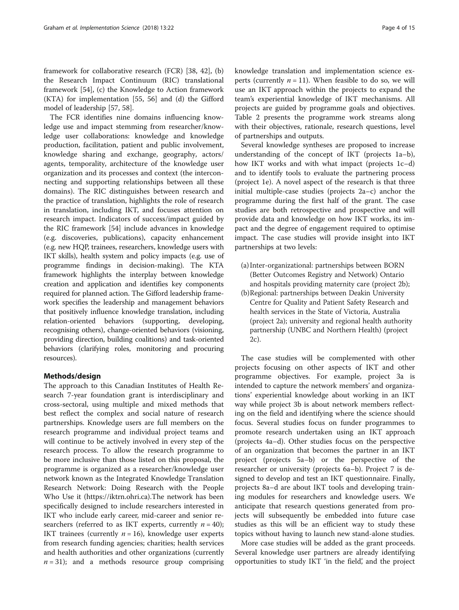framework for collaborative research (FCR) [\[38](#page-14-0), [42\]](#page-14-0), (b) the Research Impact Continuum (RIC) translational framework [\[54\]](#page-14-0), (c) the Knowledge to Action framework (KTA) for implementation [[55, 56](#page-14-0)] and (d) the Gifford model of leadership [[57](#page-14-0), [58](#page-14-0)].

The FCR identifies nine domains influencing knowledge use and impact stemming from researcher/knowledge user collaborations: knowledge and knowledge production, facilitation, patient and public involvement, knowledge sharing and exchange, geography, actors/ agents, temporality, architecture of the knowledge user organization and its processes and context (the interconnecting and supporting relationships between all these domains). The RIC distinguishes between research and the practice of translation, highlights the role of research in translation, including IKT, and focuses attention on research impact. Indicators of success/impact guided by the RIC framework [\[54](#page-14-0)] include advances in knowledge (e.g. discoveries, publications), capacity enhancement (e.g. new HQP, trainees, researchers, knowledge users with IKT skills), health system and policy impacts (e.g. use of programme findings in decision-making). The KTA framework highlights the interplay between knowledge creation and application and identifies key components required for planned action. The Gifford leadership framework specifies the leadership and management behaviors that positively influence knowledge translation, including relation-oriented behaviors (supporting, developing, recognising others), change-oriented behaviors (visioning, providing direction, building coalitions) and task-oriented behaviors (clarifying roles, monitoring and procuring resources).

# Methods/design

The approach to this Canadian Institutes of Health Research 7-year foundation grant is interdisciplinary and cross-sectoral, using multiple and mixed methods that best reflect the complex and social nature of research partnerships. Knowledge users are full members on the research programme and individual project teams and will continue to be actively involved in every step of the research process. To allow the research programme to be more inclusive than those listed on this proposal, the programme is organized as a researcher/knowledge user network known as the Integrated Knowledge Translation Research Network: Doing Research with the People Who Use it [\(https://iktrn.ohri.ca\)](https://iktrn.ohri.ca).The network has been specifically designed to include researchers interested in IKT who include early career, mid-career and senior researchers (referred to as IKT experts, currently  $n = 40$ ); IKT trainees (currently  $n = 16$ ), knowledge user experts from research funding agencies; charities; health services and health authorities and other organizations (currently  $n = 31$ ); and a methods resource group comprising knowledge translation and implementation science experts (currently  $n = 11$ ). When feasible to do so, we will use an IKT approach within the projects to expand the team's experiential knowledge of IKT mechanisms. All projects are guided by programme goals and objectives. Table [2](#page-4-0) presents the programme work streams along with their objectives, rationale, research questions, level of partnerships and outputs.

Several knowledge syntheses are proposed to increase understanding of the concept of IKT (projects 1a–b), how IKT works and with what impact (projects 1c–d) and to identify tools to evaluate the partnering process (project 1e). A novel aspect of the research is that three initial multiple-case studies (projects 2a–c) anchor the programme during the first half of the grant. The case studies are both retrospective and prospective and will provide data and knowledge on how IKT works, its impact and the degree of engagement required to optimise impact. The case studies will provide insight into IKT partnerships at two levels:

- (a) Inter-organizational: partnerships between BORN (Better Outcomes Registry and Network) Ontario and hospitals providing maternity care (project 2b);
- (b)Regional: partnerships between Deakin University Centre for Quality and Patient Safety Research and health services in the State of Victoria, Australia (project 2a); university and regional health authority partnership (UNBC and Northern Health) (project 2c).

The case studies will be complemented with other projects focusing on other aspects of IKT and other programme objectives. For example, project 3a is intended to capture the network members' and organizations' experiential knowledge about working in an IKT way while project 3b is about network members reflecting on the field and identifying where the science should focus. Several studies focus on funder programmes to promote research undertaken using an IKT approach (projects 4a–d). Other studies focus on the perspective of an organization that becomes the partner in an IKT project (projects 5a–b) or the perspective of the researcher or university (projects 6a–b). Project 7 is designed to develop and test an IKT questionnaire. Finally, projects 8a–d are about IKT tools and developing training modules for researchers and knowledge users. We anticipate that research questions generated from projects will subsequently be embedded into future case studies as this will be an efficient way to study these topics without having to launch new stand-alone studies.

More case studies will be added as the grant proceeds. Several knowledge user partners are already identifying opportunities to study IKT 'in the field', and the project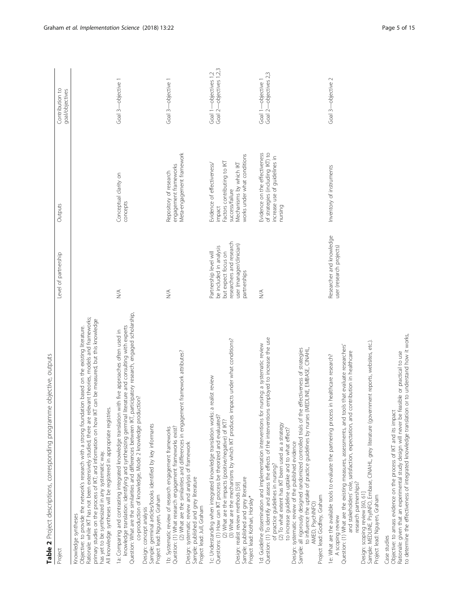<span id="page-4-0"></span>

| Table 2 Project descriptions, corresponding programme objective, outputs                                                                                                                                                                                                                                                                                                                                                                                                                                                                                                                                                                                         |                                                                                                                                                  |                                                                                                                                                  |                                                  |
|------------------------------------------------------------------------------------------------------------------------------------------------------------------------------------------------------------------------------------------------------------------------------------------------------------------------------------------------------------------------------------------------------------------------------------------------------------------------------------------------------------------------------------------------------------------------------------------------------------------------------------------------------------------|--------------------------------------------------------------------------------------------------------------------------------------------------|--------------------------------------------------------------------------------------------------------------------------------------------------|--------------------------------------------------|
| Project                                                                                                                                                                                                                                                                                                                                                                                                                                                                                                                                                                                                                                                          | Level of partnership                                                                                                                             | Outputs                                                                                                                                          | Contribution to<br>goal/objectives               |
| Rationale: while IKT has not been extensively studied, there are relevant theories, models and frameworks;<br>primary studies on the process of IKT; and information on how IKT can be measured, but this knowledge<br>Objective: to provide the network's research with a strong foundation based on the existing literature.<br>All knowledge syntheses will be registered in appropriate registries<br>has yet to be synthesized in any systematic way.<br>Knowledge syntheses                                                                                                                                                                                |                                                                                                                                                  |                                                                                                                                                  |                                                  |
| Question: What are the similarities and differences between IKT, participatory research, engaged scholarship,<br>knowledge translation: identifying and synthesizing germinal literature and consulting with experts<br>Ta: Comparing and contrasting integrated knowledge translation with five approaches often used in<br>co-production of knowledge, Mode 2 knowledge production?<br>Sample: germinal articles/books identified by key informants<br>Project lead: Nguyen, Graham<br>Design: concept analysis                                                                                                                                                | ⋚                                                                                                                                                | Conceptual clarity on<br>concepts                                                                                                                | Goal 3-objective 1                               |
| (2) What are the similarities and differences in engagement framework attributes?<br>Question: (1) What research engagement frameworks exist?<br>1b: Systematic review of research engagement frameworks<br>Design: systematic review and analysis of framework<br>Sample: published and grey literature<br>Project lead: Jull, Graham                                                                                                                                                                                                                                                                                                                           | $\lessapprox$                                                                                                                                    | Meta-engagement framework<br>engagement frameworks<br>Repository of research                                                                     | Goal 3-objective 1                               |
| (3) What are the mechanisms by which IKT produces impacts under what conditions?<br>1c: Understanding when integrated knowledge translation works: a realist review<br>Questions: (1) How can IKT process be theorized and evaluated?<br>(2) What are the impacts (positive/negative) of IKT?<br>Sample: published and grey literature<br>Design: realist review methods [59]<br>Project lead: Kothari, Horsley*                                                                                                                                                                                                                                                 | researchers and research<br>user (manager/clinician)<br>be included in analysis<br>Partnership level will<br>but expect focus on<br>partnerships | works under what conditions<br>Factors contributing to IKT<br>Evidence of effectiveness/<br>Mechanisms by which IKT<br>success/failure<br>impact | Goal 2-objectives 1,2,3<br>Goal 1-objectives 1,2 |
| employed to increase the use<br>nursing: a systematic review<br>effectiveness of strategies<br>to influence the uptake of practice guidelines by nurses (MEDLINE, EMBASE, CINAHL<br>Question: (1) To identify and assess the effects of the interventions<br>Sample: all rigorously designed randomized controlled trials of the<br>1d: Guideline dissemination and implementation interventions for<br>(2) To what extent has IKT been used as a strategy<br>to increase guideline uptake and to what effect?<br>Design: systematic review of the published evidence<br>of practice guidelines in nursing?<br>Project lead: Godfrey, Graham<br>AMED, PsychINFO) | ⋚                                                                                                                                                | of strategies (including IKT) to<br>Evidence on the effectiveness<br>increase use of guidelines in<br>pursing                                    | Goal 2-objectives 2,3<br>Goal 1-objective 1      |
| Sample: MEDUNE, PsyINFO, Embase, CINAHL, grey literature (government reports, websites, etc.).<br>Question: (1) What are the existing measures, assessments, and tools that evaluate researchers'<br>and stakeholders' role, satisfaction, expectation, and contribution in healthcare<br>in healthcare research?<br>1e: What are the available tools to evaluate the partnering process<br>research partnerships?<br>Design: scoping review [60, 61]<br>Project lead: Nguyen, Graham<br>A scoping review                                                                                                                                                        | Researcher and knowledge<br>user (research projects)                                                                                             | Inventory of instruments                                                                                                                         | Goal 3-objective 2                               |
| to determine the effectiveness of integrated knowledge translation or to understand how it works,<br>Rationale: given that an experimental study design will never be feasible or practical to use<br>Objective: to amass evidence on the process of IKT and its impact<br>Case studies                                                                                                                                                                                                                                                                                                                                                                          |                                                                                                                                                  |                                                                                                                                                  |                                                  |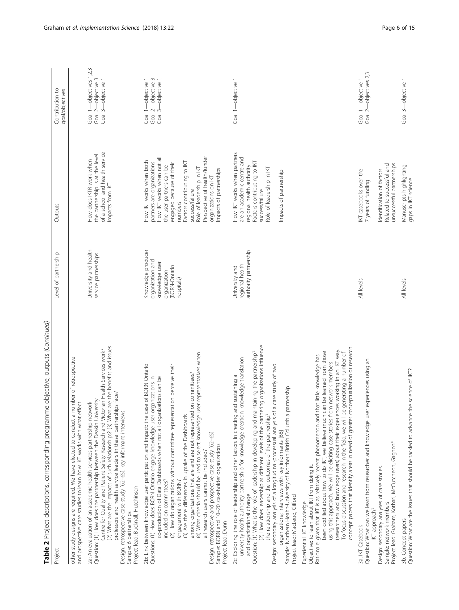| Table 2 Project descriptions, corresponding programme objective, outputs (Continued)                                                                                                                                                                                                                                                                                                                                                                                                                                                                                                                                                                                                                                                                                      |                                                                                                         |                                                                                                                                                                                                                                                                                                                          |                                                                     |
|---------------------------------------------------------------------------------------------------------------------------------------------------------------------------------------------------------------------------------------------------------------------------------------------------------------------------------------------------------------------------------------------------------------------------------------------------------------------------------------------------------------------------------------------------------------------------------------------------------------------------------------------------------------------------------------------------------------------------------------------------------------------------|---------------------------------------------------------------------------------------------------------|--------------------------------------------------------------------------------------------------------------------------------------------------------------------------------------------------------------------------------------------------------------------------------------------------------------------------|---------------------------------------------------------------------|
| Project                                                                                                                                                                                                                                                                                                                                                                                                                                                                                                                                                                                                                                                                                                                                                                   | Level of partnership                                                                                    | Outputs                                                                                                                                                                                                                                                                                                                  | Contribution to<br>goal/objectives                                  |
| other study designs are required. We have elected to conduct a number of retrospective<br>and prospective case studies to learn how IKT works with what effect.                                                                                                                                                                                                                                                                                                                                                                                                                                                                                                                                                                                                           |                                                                                                         |                                                                                                                                                                                                                                                                                                                          |                                                                     |
| (2) What are the impacts of such relationships? (3) What are the benefits and issues<br>Centre for Quality and Patient Safety Research and Victorian Health Services work?<br>face?<br>Question: (1) How does the partnership between the Deakin University<br>2a: An evaluation of an academic-health services partnership network<br>professors and health service leaders in these partnerships<br>Design: retrospective case study [62-65], key informant interviews<br>Project lead: Bucknall, Hutchinson<br>Sample: 6 partnerships                                                                                                                                                                                                                                  | University and health<br>service partnerships                                                           | of a school and health service<br>the partnership is at the level<br>How does IKTR work when<br>Impacts from IKT                                                                                                                                                                                                         | Goal 1-objectives 1,2,3<br>Goal 2-objective 3<br>Goal 3-objective 1 |
| (4) What criteria should be used to select knowledge user representatives when<br>2b: Link between knowledge user participation and impact: the case of BORN Ontario<br>(2) How do organizations without committee representation perceive their<br>among organizations that are and are not represented on committees?<br>Questions: (1) How does BORN Ontario engage knowledge user organizations in<br>co-production of Data Dashboards when not all organizations can be<br>(3) Are there differences in uptake of the Dashboards<br>Design: retrospective and prospective case study [62-65]<br>Sample: BORN and 10-20 stakeholder organizations<br>all research users cannot be included?<br>included on committees?<br>engagement with BORN?<br>Project lead: Dunn | Knowledge producer<br>organization and<br>knowledge user<br>(BORN-Ontario<br>organization<br>hospitals) | How IKT works when not all<br>Perspective of health/funder<br>How IKT works when both<br>Factors contributing to IKT<br>partners are organizations<br>engaged because of their<br>the user partners can be<br>Role of leadership in IKT<br>Impacts of partnerships<br>organizations on IKT<br>success/failure<br>numbers | Goal 2-objective 3<br>Goal 3-objective 1<br>Goal 1-objective 1      |
| (2) How does leadership at different levels of the partnering organizations influence<br>the relationship and the outcomes of the partnership?<br>Question: (1) What is the role of leadership in developing and maintaining the partnership?<br>university-health authority partnership for knowledge creation, knowledge translation<br>case study of two<br>2c: Exploring the role of leadership and other factors in creating and sustaining a<br>Sample: Northern Health-University of Northern British Columbia partnership<br>Design: secondary analysis of a longitudinal-processual analysis of a<br>organizations; interviews with key informants [66]<br>and organizational change<br>Project lead: MacLeod, Gifford                                           | authority partnership<br>regional health<br>University and                                              | How IKT works when partners<br>are an academic centre and<br>Factors contributing to IKT<br>regional health authority<br>Role of leadership in IKT<br>Impacts of partnership<br>success/failure                                                                                                                          | Goal 1-objective 1                                                  |
| concept papers that identify areas in need of greater conceptualization or research<br>(researchers and knowledge users) about their experiences working in an IKT way.<br>be learned from those<br>To focus discussion and research in the field, we will be generating a number of<br>Rationale: given that IKT is as relatively recent phenomenon and that little knowledge has<br>using this approach. We will be eliciting case stories from network members<br>been codified about how to do IKT, we believe much can<br>Objective: to learn about IKT from doing it.<br>Experiential IKT knowledge                                                                                                                                                                 |                                                                                                         |                                                                                                                                                                                                                                                                                                                          |                                                                     |
| Question: What can we learn from researcher and knowledge user experiences using an<br>IKT approach?<br>3a. IKT Casebook                                                                                                                                                                                                                                                                                                                                                                                                                                                                                                                                                                                                                                                  | All levels                                                                                              | IKT casebooks over the<br>7 years of funding                                                                                                                                                                                                                                                                             | Goal 2-objectives 2,3<br>Goal 1-objective 1                         |
| Project lead: Graham, Kothari, McCutcheon, Gagnon*<br>Design: secondary analyses of case stories.<br>Sample: network members                                                                                                                                                                                                                                                                                                                                                                                                                                                                                                                                                                                                                                              |                                                                                                         | unsuccessful partnerships<br>Related to successful and<br>Identification of factors                                                                                                                                                                                                                                      |                                                                     |
| Question: What are the issues that should be tackled to advance the science of IKT?<br>3b. Concept papers                                                                                                                                                                                                                                                                                                                                                                                                                                                                                                                                                                                                                                                                 | All levels                                                                                              | Manuscripts highlighting<br>gaps in IKT science                                                                                                                                                                                                                                                                          | Goal 3-objective 1                                                  |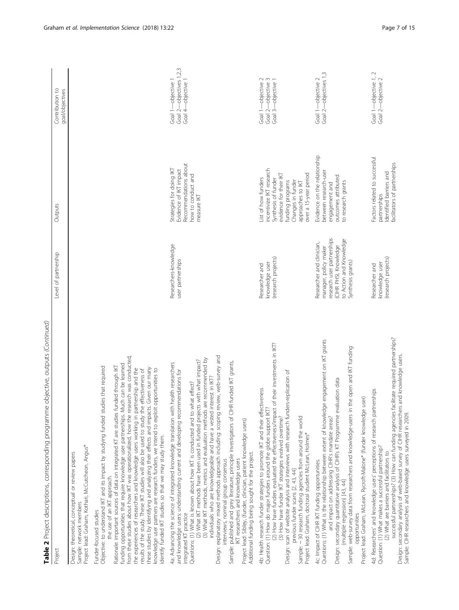| objective, outputs (Continued)<br>Table 2 Project descriptions, corresponding programme                                                                                                                                                                                                                                                                                                                                                                                                                                                                                                                                                                                                                                                                                                                                                                                                                     |                                                                                                                                                           |                                                                                                                                                                                         |                                                                     |
|-------------------------------------------------------------------------------------------------------------------------------------------------------------------------------------------------------------------------------------------------------------------------------------------------------------------------------------------------------------------------------------------------------------------------------------------------------------------------------------------------------------------------------------------------------------------------------------------------------------------------------------------------------------------------------------------------------------------------------------------------------------------------------------------------------------------------------------------------------------------------------------------------------------|-----------------------------------------------------------------------------------------------------------------------------------------------------------|-----------------------------------------------------------------------------------------------------------------------------------------------------------------------------------------|---------------------------------------------------------------------|
| Project                                                                                                                                                                                                                                                                                                                                                                                                                                                                                                                                                                                                                                                                                                                                                                                                                                                                                                     | Level of partnership                                                                                                                                      | Outputs                                                                                                                                                                                 | Contribution to<br>goal/objectives                                  |
| Project lead: Graham, Kothari, McCutcheon, Angus*<br>Design: theoretical, conceptual or review papers<br>Sample: network members                                                                                                                                                                                                                                                                                                                                                                                                                                                                                                                                                                                                                                                                                                                                                                            |                                                                                                                                                           |                                                                                                                                                                                         |                                                                     |
| from these studies about how IKT was operationalized, how the research was conducted,<br>funding opportunities that require knowledge user partnerships. Much can be learned<br>Objective: to understand IKT and its impact by studying funded studies that required<br>Rationale: important sources of data on integrated KT are studies funded through IKT<br>Given our many<br>the experiences of researchers and knowledge users working in partnership and the<br>knowledge user partners are research funders, we intend to exploit opportunities to<br>results of the study. These IKT studies will also be used to study the effectiveness of<br>these studies by identifying and analyzing their effects and impacts.<br>identify funded IKT studies so that we may study them.<br>the use of an IKT approach.<br>Funder-focused studies                                                           |                                                                                                                                                           |                                                                                                                                                                                         |                                                                     |
| Design: explanatory mixed methods approach including: scoping review, web-survey and<br>(3) What IKT methods, metrics and evaluation methods are recommended by<br>(2) What IKT methods have been used in funded projects with what impact?<br>Sample: published and grey literature, principle investigators of CIHR funded IKT grants,<br>4a: Advancing the science of integrated knowledge translation with health researchers<br>and knowledge users: understanding current and developing recommendations for<br>individuals who are knowledgeable and have a vested interest in IKT?<br>Questions: (1) What is known about how IKT is conducted and to what effect?<br>Project lead: Sibley, (funder, clinician, patient knowledge users)<br>Additional funding being sought for the project.<br>IKT researchers and knowledge users<br>interviews, nominal group consensus<br>integrated KT practice | Researchers-knowledge<br>user partnerships                                                                                                                | Recommendations about<br>Strategies for doing IKT<br>Evidence of IKT impact<br>how to conduct and<br>measure IKT                                                                        | Goal 2-objectives 1,2,3<br>Goal 1-objective 1<br>Goal 4-objective 1 |
| of their investments in IKT?<br>Design: scan of website analysis and interviews with research funders-replication of<br>4b: Health research funder strategies to promote IKT and their effectiveness<br>Question: (1) How do major funders around the globe support IKT?<br>(2) How have funders evaluated the effectiveness/impact<br>Sample: ~ 30 research funding agencies from around the world<br>(3) How have funder IKT strategies evolved overtime?<br>Project lead: Graham, doctoral student McLean, Holmes*<br>previous funder scans [2, 43, 44]                                                                                                                                                                                                                                                                                                                                                  | (research projects)<br>knowledge user<br>Researcher and                                                                                                   | incentivize IKT research<br>over a 15-year period<br>evidence for their IKT<br>List of how funders<br>Synthesis of funder<br>Changes in funder<br>funding programs<br>approaches to IKT | Goal 1—objective 2<br>Goal 2—objective 3<br>Goal 3—objective 1      |
| Questions: (1) What is the relationship between extent of knowledge engagement on IKT grants<br>Sample: web-survey data from researchers and knowledge-users in the open and IKT funding<br>Design: secondary quantitative analysis of CIHR's KT Programme evaluation data<br>Project lead: Graham, McLean, Rycroft-Malone* (funder knowledge user)<br>and impact on addressing CIHR's mandate areas?<br>4c: Impact of CIHR IKT funding opportunities.<br>(multiple regression) [43, 44]<br>opportunities                                                                                                                                                                                                                                                                                                                                                                                                   | research user partnerships<br>to Action and Knowledge<br>Researcher and clinician,<br>(CIHR PHSI, Knowledge<br>manager, policy maker<br>Synthesis grants) | Evidence on the relationship<br>between research-user<br>outcomes attributed<br>to research grants<br>engagement and                                                                    | Goal 2-objectives 1,3<br>Goal 1-objective 2                         |
| successful partnerships? (3) How can funding agencies facilitate required partnerships?<br>Design: secondary analysis of web-based survey of CIHR researchers and knowledge users.<br>4d: Researchers' and knowledge users' perceptions of research partnerships<br>Sample: CIHR researchers and knowledge users surveyed in 2009.<br>Question: (1) What makes a successful partnership?<br>(2) What are barriers and facilitators to                                                                                                                                                                                                                                                                                                                                                                                                                                                                       | (research projects)<br>knowledge user<br>Researcher and                                                                                                   | Factors related to successful<br>facilitators of partnerships<br>Identified barriers and<br>partnerships                                                                                | Goal 1-objective 1, 2<br>Goal 2-objective 2                         |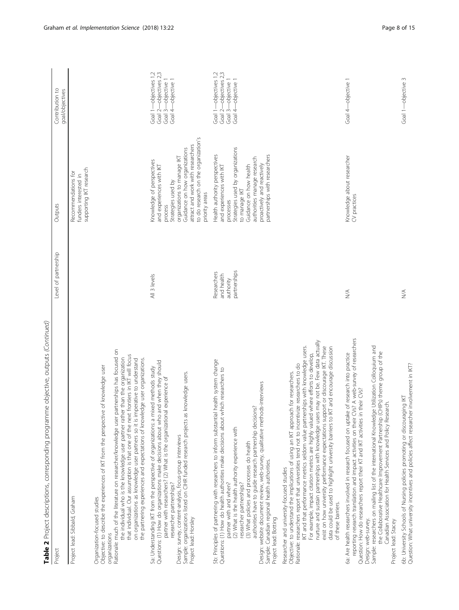| Table 2 Project descriptions, corresponding programme objective, outputs (Continued)                                                                                                                                                                                                                                                                                                                                                                                                                                                                                                                                                                                                              |                                                        |                                                                                                                                                                                                                                                       |                                                                                            |
|---------------------------------------------------------------------------------------------------------------------------------------------------------------------------------------------------------------------------------------------------------------------------------------------------------------------------------------------------------------------------------------------------------------------------------------------------------------------------------------------------------------------------------------------------------------------------------------------------------------------------------------------------------------------------------------------------|--------------------------------------------------------|-------------------------------------------------------------------------------------------------------------------------------------------------------------------------------------------------------------------------------------------------------|--------------------------------------------------------------------------------------------|
| Project                                                                                                                                                                                                                                                                                                                                                                                                                                                                                                                                                                                                                                                                                           | Level of partnership                                   | Outputs                                                                                                                                                                                                                                               | Contribution to<br>goal/objectives                                                         |
| Project lead: Sibbald, Graham                                                                                                                                                                                                                                                                                                                                                                                                                                                                                                                                                                                                                                                                     |                                                        | supporting IKT research<br>Recommendations for<br>funders interested in                                                                                                                                                                               |                                                                                            |
| of knowledge user<br>Objective: to describe the experiences of IKT from the perspective<br>Organization-focused studies                                                                                                                                                                                                                                                                                                                                                                                                                                                                                                                                                                           |                                                        |                                                                                                                                                                                                                                                       |                                                                                            |
| Rationale: much of the literature on researcher/knowledge user partnerships has focused on<br>that individual. Our assumption is that one of the next frontiers in IKT will focus<br>the individual who is the knowledge user partner rather than the organization<br>on organizations as knowledge user partners so it is imperative to understand<br>the partnering experiences and expectations of knowledge user organizations.<br>organizations                                                                                                                                                                                                                                              |                                                        |                                                                                                                                                                                                                                                       |                                                                                            |
| Questions: (1) How do organizations make decisions about who and when they should<br>5a: Understanding IKT from the perspective of organizations: a mixed methods study<br>Sample: organizations listed on CIHR funded research projects as knowledge users.<br>experience of<br>partner with researchers? (2) What is the organizational<br>Design: survey, content-analysis, focus-group interviews<br>researcher partnerships?<br>Project lead: Horsley                                                                                                                                                                                                                                        | All 3 levels                                           | to do research on the organization's<br>attract and work with researchers<br>Guidance on how organizations<br>organizations to manage IKT<br>Knowledge of perspectives<br>and experiences with IKT<br>Strategies used by<br>priority areas<br>process | Goal 1-objectives 1,2<br>Goal 2-objectives 2,3<br>Goal 3-objective 1<br>Goal 4-objective 1 |
| health system change<br>Questions: (1) How do health authorities make decisions about which researchers to<br>Design: website document review, web-survey, qualitative methods-interviews<br>authorities have to guide research partnership decisions?<br>5b: Principles of partnering with researchers to inform substantial<br>(2) What is the health authority experience with<br>(3) What policies and processes do health<br>Sample: Canadian regional health authorities.<br>researcher partnerships?<br>partner with and when?<br>Project lead: Botting                                                                                                                                    | partnerships<br>Researchers<br>and health<br>authority | Strategies used by organizations<br>Health authority perspectives<br>partnerships with researchers<br>authorities manage research<br>proactively and reactively<br>Guidance on how health<br>and experiences with IKT<br>to manage IKT<br>processes   | Goal 1-objectives 1,2<br>Goal 2-objectives 2,3<br>Goal 3-objective 1<br>Goal 4-objective 1 |
| nurture and sustain partnerships with knowledge users may not be. Few data actually<br>IKT and that performance metrics seldom value partnerships with knowledge users.<br>and encourage discussion<br>exist on how university performance expectations support or discourage IKT. These<br>For example, impact citation metrics are highly valued where efforts to develop,<br>Rationale: researchers report that universities tend not to incentivize researchers to do<br>Objective: to understand the implications of using an IKT approach for researchers.<br>data could be used to highlight university barriers to IKT<br>Researcher and university-focused studies<br>of these barriers. |                                                        |                                                                                                                                                                                                                                                       |                                                                                            |
| reporting research translation and impact activities on their CVs? A web-survey of researchers<br>Sample: researchers on mailing list of the international Knowledge Utilization Colloquium and<br>the Collaborative Healthcare Improvement Partnership (CHIPs) theme group of the<br>of research into practice<br>Question: How do researchers report their KT and IKT activities in their CVs?<br>Canadian Association for Health Services and Policy Research.<br>6a: Are health researchers involved in research focused on uptake<br>Design: web-survey.<br>Project lead: Stacey                                                                                                             | $\lessgtr$                                             | Knowledge about researcher<br>CV practices                                                                                                                                                                                                            | Goal 4-objective 1                                                                         |
| Question: What university incentives and policies affect researcher involvement in IKT?<br>6b: University Schools of Nursing policies promoting or discouraging IKT                                                                                                                                                                                                                                                                                                                                                                                                                                                                                                                               | $\lessgtr$                                             |                                                                                                                                                                                                                                                       | Goal 1-objective 3                                                                         |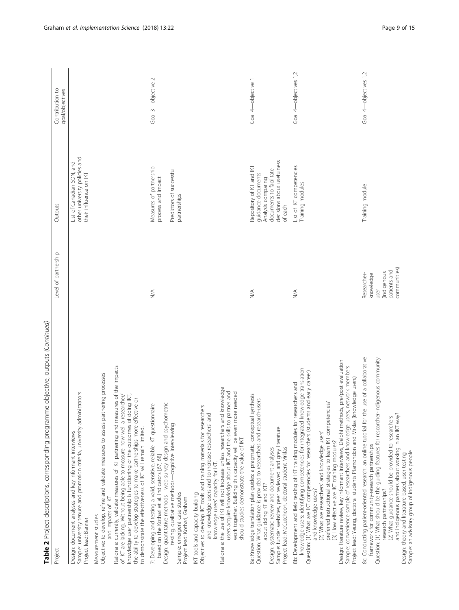| Table 2 Project descriptions, corresponding programme objective, outputs (Continued)                                                                                                                                                                                                                                                                                                                                                                                                                                                                                                                                                                                                                            |                                                                                 |                                                                                                                                          |                                    |
|-----------------------------------------------------------------------------------------------------------------------------------------------------------------------------------------------------------------------------------------------------------------------------------------------------------------------------------------------------------------------------------------------------------------------------------------------------------------------------------------------------------------------------------------------------------------------------------------------------------------------------------------------------------------------------------------------------------------|---------------------------------------------------------------------------------|------------------------------------------------------------------------------------------------------------------------------------------|------------------------------------|
| Project                                                                                                                                                                                                                                                                                                                                                                                                                                                                                                                                                                                                                                                                                                         | Level of partnership                                                            | Outputs                                                                                                                                  | Contribution to<br>goal/objectives |
| Sample: university tenure and promotion criteria, university administrators<br>Design: document analyses and key informant interviews<br>Project lead: Banner                                                                                                                                                                                                                                                                                                                                                                                                                                                                                                                                                   |                                                                                 | other university policies and<br>List of Canadian SON, and<br>their influence on IKT                                                     |                                    |
| Rationale: currently, validate measures of IKT partnering and measures of the impacts<br>Objective: to develop, refine and validate measures to assess partnering processes<br>of IKT are lacking. Without being able to measure how well a researcher/<br>knowledge user partnership is functioning or the outcomes of doing IKT,<br>the ability to develop strategies to make partnerships more effective or<br>to demonstrate the effectiveness of IKT will remain limited.<br>and impacts of IKT<br>Measurement studies                                                                                                                                                                                     |                                                                                 |                                                                                                                                          |                                    |
| Design: quantitative methods—web-survey design and psychometric<br>7: Developing and testing a valid, sensitive, reliable IKT questionnaire<br>testing, qualitative methods-cognitive interviewing<br>based on the Kothari et al. indicators [67, 68]<br>Sample: emergent case studies<br>Project lead: Kothari, Graham                                                                                                                                                                                                                                                                                                                                                                                         | $\lessapprox$                                                                   | Measures of partnership<br>Predictors of successful<br>process and impact<br>partnerships                                                | Goal 3-objective 2                 |
| Rationale: the use of IKT will not increase unless researchers and knowledge<br>users acquire knowledge about IKT and the skills to partner and<br>needed<br>IKT tools and capacity building<br>Objective: to develop IKT tools and training materials for researchers<br>work together. Building this capacity will be even more<br>and knowledge users and to increase researchers' and<br>should studies demonstrate the value of IKT.<br>knowledge users' capacity for IKT.                                                                                                                                                                                                                                 |                                                                                 |                                                                                                                                          |                                    |
| 8a: Knowledge translation plan guides: a pragmatic, conceptual synthesis<br>Question: What guidance is provided to researchers and research-users<br>Sample: funder websites, peer reviewed and grey literature<br>Project lead: McCutcheon, doctoral student Mrklas<br>Design: systematic review and document analyses<br>about doing KT and IKT?                                                                                                                                                                                                                                                                                                                                                              | $\lessgtr$                                                                      | decisions about usefulness<br>Repository of KT and IKT<br>documents to facilitate<br>guidance documents<br>Analysis comparing<br>of each | Goal 4-objective 1                 |
| Design: literature review, key informant interviews, Delphi methods, pre/post evaluation<br>Sample: convenience sample of researchers and knowledge users, network members<br>knowledge users: identifying competencies for integrated knowledge translation<br>Question: (1) What are IKT competencies for researchers (students and early career)<br>Project lead: Yeung, doctoral students Plamondon and Mrklas (knowledge users)<br>8b: Development and field testing of IKT training modules for researchers and<br>preferred instructional strategies to learn IKT competencies?<br>(2) What are researchers' and knowledge users'<br>(3) How effective are IKT training modules?<br>and knowledge users? | $\frac{1}{2}$                                                                   | List of IKT competencies<br>Training modules                                                                                             | Goal 4-objectives 1,2              |
| 8c: Conducting patient-oriented research: an online tutorial for the use of a collaborative<br>indigenous community<br>Question: (1) What should be the guiding features for researcher-<br>and indigenous partners about working in an IKT way?<br>(2) What guidance should be provided to researchers<br>framework for community-research partnerships<br>Sample: an advisory group of indigenous people<br>Design: theory and literature based, user testing<br>research partnerships?                                                                                                                                                                                                                       | communities)<br>patients and<br>(indigenous<br>knowledge<br>Researcher-<br>user | Training module                                                                                                                          | Goal 4—objectives 1,2              |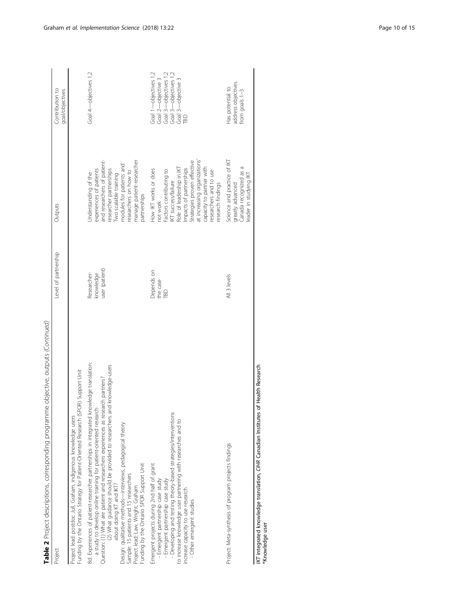| Table 2 Project descriptions, corresponding programme objective, outputs (Continued)                                                                                                                                                                                                                                                                                                                                                                                                                                                           |                                            |                                                                                                                                                                                                                                                                                     |                                                                                                                                   |
|------------------------------------------------------------------------------------------------------------------------------------------------------------------------------------------------------------------------------------------------------------------------------------------------------------------------------------------------------------------------------------------------------------------------------------------------------------------------------------------------------------------------------------------------|--------------------------------------------|-------------------------------------------------------------------------------------------------------------------------------------------------------------------------------------------------------------------------------------------------------------------------------------|-----------------------------------------------------------------------------------------------------------------------------------|
| Project                                                                                                                                                                                                                                                                                                                                                                                                                                                                                                                                        | Level of partnership                       | Outputs                                                                                                                                                                                                                                                                             | Contribution to<br>goal/objectives                                                                                                |
| Funding by the Ontario Strategy for Patient-Oriented Research (SPOR) Support Unit<br>Project lead: postdoc Jull, Graham, indigenous knowledge users                                                                                                                                                                                                                                                                                                                                                                                            |                                            |                                                                                                                                                                                                                                                                                     |                                                                                                                                   |
| 8d: Experiences of patient-researcher partnerships in integrated knowledge translation:<br>(2) What guidance should be provided to researchers and knowledge-users<br>Question: (1) What are patient and researchers experiences as research partners?<br>a study to develop online training for patient-oriented research<br>Design: qualitative methods-interviews, pedagogical theory<br>Funding by the Ontario SPOR Support Unit<br>Sample: 15 patients and 15 researchers<br>about doing KT and IKT?<br>Project lead: Law, Wright, Graham | user (patient)<br>Researcher-<br>knowledge | and researchers of patient-<br>manage patient-researcher<br>modules for patients and<br>experiences of patients<br>esearcher partnerships<br>researchers on how to<br>Understanding of the<br>Two scalable training<br>partnerships                                                 | Goal 4-objectives 1,2                                                                                                             |
| - Developing and testing theory-based strategies/interventions<br>to increase knowledge user partnering with researches and to<br>Emergent projects during 2nd half of grant<br>- Emergent partnership case study<br>Emergent partnership case study<br>increase capacity to use research<br>Other emergent studies                                                                                                                                                                                                                            | Depends on<br>the case<br>BD               | at increasing organizations'<br>Strategies proven effective<br>capacity to partner with<br>Role of leadership in IKT<br>Impacts of partnerships<br>How IKT works or does<br>Factors contributing to<br>esearchers and to use<br>KT success/failure<br>research findings<br>not work | Goal 1—objectives 1,2<br>Goal 2—objective 3<br>Goal 3—objectives 1,2<br>Goal 3-objectives 1,2<br>Goal 3-objective 3<br><b>TBD</b> |
| Project: Meta-synthesis of program projects findings                                                                                                                                                                                                                                                                                                                                                                                                                                                                                           | All 3 levels                               | Science and practice of IKT<br>Canada recognized as a<br>leader in studying IKT<br>greatly advanced                                                                                                                                                                                 | address objectives<br>Has potential to<br>from goals 1-3                                                                          |
|                                                                                                                                                                                                                                                                                                                                                                                                                                                                                                                                                |                                            |                                                                                                                                                                                                                                                                                     |                                                                                                                                   |

IKT integrated knowledge translation, CIHR Canadian Institutes of Health Research<br>\*Knowledge user IKT integrated knowledge translation, CIHR Canadian Institutes of Health Research \*Knowledge user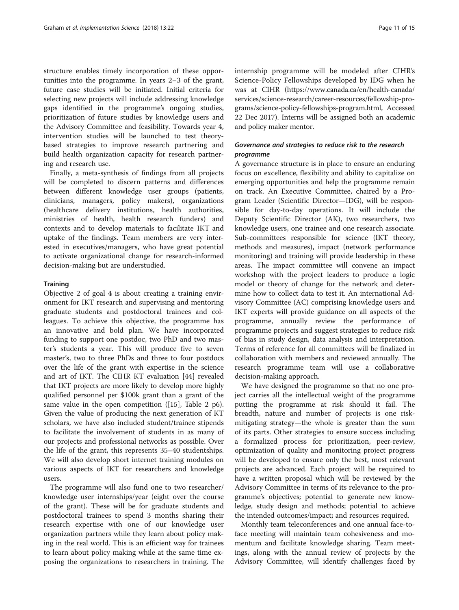structure enables timely incorporation of these opportunities into the programme. In years 2–3 of the grant, future case studies will be initiated. Initial criteria for selecting new projects will include addressing knowledge gaps identified in the programme's ongoing studies, prioritization of future studies by knowledge users and the Advisory Committee and feasibility. Towards year 4, intervention studies will be launched to test theorybased strategies to improve research partnering and build health organization capacity for research partnering and research use.

Finally, a meta-synthesis of findings from all projects will be completed to discern patterns and differences between different knowledge user groups (patients, clinicians, managers, policy makers), organizations (healthcare delivery institutions, health authorities, ministries of health, health research funders) and contexts and to develop materials to facilitate IKT and uptake of the findings. Team members are very interested in executives/managers, who have great potential to activate organizational change for research-informed decision-making but are understudied.

#### **Training**

Objective 2 of goal 4 is about creating a training environment for IKT research and supervising and mentoring graduate students and postdoctoral trainees and colleagues. To achieve this objective, the programme has an innovative and bold plan. We have incorporated funding to support one postdoc, two PhD and two master's students a year. This will produce five to seven master's, two to three PhDs and three to four postdocs over the life of the grant with expertise in the science and art of IKT. The CIHR KT evaluation [[44\]](#page-14-0) revealed that IKT projects are more likely to develop more highly qualified personnel per \$100k grant than a grant of the same value in the open competition ([[15\]](#page-13-0), Table [2](#page-4-0) p6). Given the value of producing the next generation of KT scholars, we have also included student/trainee stipends to facilitate the involvement of students in as many of our projects and professional networks as possible. Over the life of the grant, this represents 35–40 studentships. We will also develop short internet training modules on various aspects of IKT for researchers and knowledge users.

The programme will also fund one to two researcher/ knowledge user internships/year (eight over the course of the grant). These will be for graduate students and postdoctoral trainees to spend 3 months sharing their research expertise with one of our knowledge user organization partners while they learn about policy making in the real world. This is an efficient way for trainees to learn about policy making while at the same time exposing the organizations to researchers in training. The internship programme will be modeled after CIHR's Science-Policy Fellowships developed by IDG when he was at CIHR ([https://www.canada.ca/en/health-canada/](https://www.canada.ca/en/health-canada/services/science-research/career-resources/fellowship-programs/science-policy-fellowships-program.html) [services/science-research/career-resources/fellowship-pro](https://www.canada.ca/en/health-canada/services/science-research/career-resources/fellowship-programs/science-policy-fellowships-program.html)[grams/science-policy-fellowships-program.html,](https://www.canada.ca/en/health-canada/services/science-research/career-resources/fellowship-programs/science-policy-fellowships-program.html) Accessed 22 Dec 2017). Interns will be assigned both an academic and policy maker mentor.

# Governance and strategies to reduce risk to the research programme

A governance structure is in place to ensure an enduring focus on excellence, flexibility and ability to capitalize on emerging opportunities and help the programme remain on track. An Executive Committee, chaired by a Program Leader (Scientific Director—IDG), will be responsible for day-to-day operations. It will include the Deputy Scientific Director (AK), two researchers, two knowledge users, one trainee and one research associate. Sub-committees responsible for science (IKT theory, methods and measures), impact (network performance monitoring) and training will provide leadership in these areas. The impact committee will convene an impact workshop with the project leaders to produce a logic model or theory of change for the network and determine how to collect data to test it. An international Advisory Committee (AC) comprising knowledge users and IKT experts will provide guidance on all aspects of the programme, annually review the performance of programme projects and suggest strategies to reduce risk of bias in study design, data analysis and interpretation. Terms of reference for all committees will be finalized in collaboration with members and reviewed annually. The research programme team will use a collaborative decision-making approach.

We have designed the programme so that no one project carries all the intellectual weight of the programme putting the programme at risk should it fail. The breadth, nature and number of projects is one riskmitigating strategy—the whole is greater than the sum of its parts. Other strategies to ensure success including a formalized process for prioritization, peer-review, optimization of quality and monitoring project progress will be developed to ensure only the best, most relevant projects are advanced. Each project will be required to have a written proposal which will be reviewed by the Advisory Committee in terms of its relevance to the programme's objectives; potential to generate new knowledge, study design and methods; potential to achieve the intended outcomes/impact; and resources required.

Monthly team teleconferences and one annual face-toface meeting will maintain team cohesiveness and momentum and facilitate knowledge sharing. Team meetings, along with the annual review of projects by the Advisory Committee, will identify challenges faced by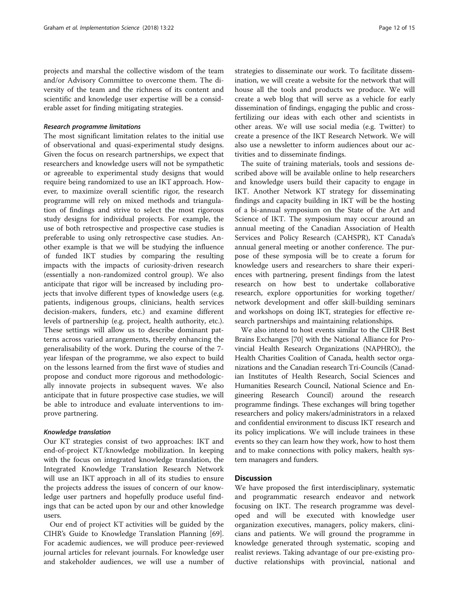projects and marshal the collective wisdom of the team and/or Advisory Committee to overcome them. The diversity of the team and the richness of its content and scientific and knowledge user expertise will be a considerable asset for finding mitigating strategies.

# Research programme limitations

The most significant limitation relates to the initial use of observational and quasi-experimental study designs. Given the focus on research partnerships, we expect that researchers and knowledge users will not be sympathetic or agreeable to experimental study designs that would require being randomized to use an IKT approach. However, to maximize overall scientific rigor, the research programme will rely on mixed methods and triangulation of findings and strive to select the most rigorous study designs for individual projects. For example, the use of both retrospective and prospective case studies is preferable to using only retrospective case studies. Another example is that we will be studying the influence of funded IKT studies by comparing the resulting impacts with the impacts of curiosity-driven research (essentially a non-randomized control group). We also anticipate that rigor will be increased by including projects that involve different types of knowledge users (e.g. patients, indigenous groups, clinicians, health services decision-makers, funders, etc.) and examine different levels of partnership (e.g. project, health authority, etc.). These settings will allow us to describe dominant patterns across varied arrangements, thereby enhancing the generalisability of the work. During the course of the 7 year lifespan of the programme, we also expect to build on the lessons learned from the first wave of studies and propose and conduct more rigorous and methodologically innovate projects in subsequent waves. We also anticipate that in future prospective case studies, we will be able to introduce and evaluate interventions to improve partnering.

## Knowledge translation

Our KT strategies consist of two approaches: IKT and end-of-project KT/knowledge mobilization. In keeping with the focus on integrated knowledge translation, the Integrated Knowledge Translation Research Network will use an IKT approach in all of its studies to ensure the projects address the issues of concern of our knowledge user partners and hopefully produce useful findings that can be acted upon by our and other knowledge users.

Our end of project KT activities will be guided by the CIHR's Guide to Knowledge Translation Planning [\[69](#page-14-0)]. For academic audiences, we will produce peer-reviewed journal articles for relevant journals. For knowledge user and stakeholder audiences, we will use a number of strategies to disseminate our work. To facilitate dissemination, we will create a website for the network that will house all the tools and products we produce. We will create a web blog that will serve as a vehicle for early dissemination of findings, engaging the public and crossfertilizing our ideas with each other and scientists in other areas. We will use social media (e.g. Twitter) to create a presence of the IKT Research Network. We will also use a newsletter to inform audiences about our activities and to disseminate findings.

The suite of training materials, tools and sessions described above will be available online to help researchers and knowledge users build their capacity to engage in IKT. Another Network KT strategy for disseminating findings and capacity building in IKT will be the hosting of a bi-annual symposium on the State of the Art and Science of IKT. The symposium may occur around an annual meeting of the Canadian Association of Health Services and Policy Research (CAHSPR), KT Canada's annual general meeting or another conference. The purpose of these symposia will be to create a forum for knowledge users and researchers to share their experiences with partnering, present findings from the latest research on how best to undertake collaborative research, explore opportunities for working together/ network development and offer skill-building seminars and workshops on doing IKT, strategies for effective research partnerships and maintaining relationships.

We also intend to host events similar to the CIHR Best Brains Exchanges [\[70\]](#page-14-0) with the National Alliance for Provincial Health Research Organizations (NAPHRO), the Health Charities Coalition of Canada, health sector organizations and the Canadian research Tri-Councils (Canadian Institutes of Health Research, Social Sciences and Humanities Research Council, National Science and Engineering Research Council) around the research programme findings. These exchanges will bring together researchers and policy makers/administrators in a relaxed and confidential environment to discuss IKT research and its policy implications. We will include trainees in these events so they can learn how they work, how to host them and to make connections with policy makers, health system managers and funders.

# **Discussion**

We have proposed the first interdisciplinary, systematic and programmatic research endeavor and network focusing on IKT. The research programme was developed and will be executed with knowledge user organization executives, managers, policy makers, clinicians and patients. We will ground the programme in knowledge generated through systematic, scoping and realist reviews. Taking advantage of our pre-existing productive relationships with provincial, national and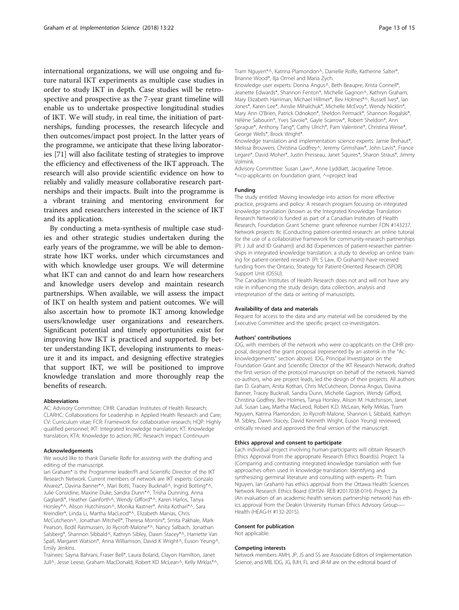international organizations, we will use ongoing and future natural IKT experiments as multiple case studies in order to study IKT in depth. Case studies will be retrospective and prospective as the 7-year grant timeline will enable us to undertake prospective longitudinal studies of IKT. We will study, in real time, the initiation of partnerships, funding processes, the research lifecycle and then outcomes/impact post project. In the latter years of the programme, we anticipate that these living laboratories [[71](#page-14-0)] will also facilitate testing of strategies to improve the efficiency and effectiveness of the IKT approach. The research will also provide scientific evidence on how to reliably and validly measure collaborative research partnerships and their impacts. Built into the programme is a vibrant training and mentoring environment for trainees and researchers interested in the science of IKT and its application.

By conducting a meta-synthesis of multiple case studies and other strategic studies undertaken during the early years of the programme, we will be able to demonstrate how IKT works, under which circumstances and with which knowledge user groups. We will determine what IKT can and cannot do and learn how researchers and knowledge users develop and maintain research partnerships. When available, we will assess the impact of IKT on health system and patient outcomes. We will also ascertain how to promote IKT among knowledge users/knowledge user organizations and researchers. Significant potential and timely opportunities exist for improving how IKT is practiced and supported. By better understanding IKT, developing instruments to measure it and its impact, and designing effective strategies that support IKT, we will be positioned to improve knowledge translation and more thoroughly reap the benefits of research.

# Abbreviations

AC: Advisory Committee; CIHR: Canadian Institutes of Health Research; CLARHC: Collaborations for Leadership in Applied Health Research and Care; CV: Curriculum vitae; FCR: Framework for collaborative research; HQP: Highly qualified personnel; IKT: Integrated knowledge translation; KT: Knowledge translation; KTA: Knowledge to action; RIC: Research Impact Continuum

#### Acknowledgements

We would like to thank Danielle Rolfe for assisting with the drafting and editing of the manuscript.

Ian Graham\* is the Programme leader/PI and Scientific Director of the IKT Research Network. Current members of network are IKT experts: Gonzalo Alvarez\*, Davina Banner\*^, Mari Botti, Tracey Bucknall^, Ingrid Botting\*^, Julie Considine, Maxine Duke, Sandra Dunn\*^, Trisha Dunning, Anna Gagliardi\*, Heather Gainforth^, Wendy Gifford\*^, Karen Harlos, Tanya Horsley\*^, Alison Hutchinson^, Monika Kastner\*, Anita Kothari\*^, Sara Kreindler\*, Linda Li, Martha MacLeod\*^, Elizabeth Manias, Chris McCutcheon^, Jonathan Mitchell\*, Theresa Montini\*, Smita Pakhale, Mark Pearson, Bodil Rasmussen, Jo Rycroft-Malone\*^, Nancy Salbach, Jonathan Salsberg\*, Shannon Sibbald^, Kathryn Sibley, Dawn Stacey\*^, Harriette Van Spall, Margaret Watson\*, Anna Williamson, David K Wright^, Euson Yeung^, Emily Jenkins.

Trainees: Sayna Bahrani, Fraser Bell\*, Laura Boland, Clayon Hamilton, Janet Jull^, Jesse Leese, Graham MacDonald, Robert KD McLean^, Kelly Mrklas\*^, Tram Nguyen\*^, Katrina Plamondon^, Danielle Rolfe, Katherine Salter\*, Brianne Wood\*, Ilja Ormel and Maria Zych.

Knowledge user experts: Donna Angus^, Beth Beaupre, Krista Connell\*, Jeanette Edwards\*, Shannon Fenton\*, Michelle Gagnon^, Kathryn Graham, Mary Elizabeth Harriman, Michael Hillmer\*, Bev Holmes\*^, Russell Ives\*, Ian Jones\*, Karen Lee\*, Ainslie Mihalchuk\*, Michelle McEvoy\*, Wendy Nicklin\*, Mary Ann O'Brien, Patrick Odnokon\*, Sheldon Permack\*, Shannon Rogalski\*, Hélène Sabourin\*, Yves Savoie\*, Gayle Scarrow\*, Robert Sheldon\*, Ann Sprague\*, Anthony Tang\*, Cathy Ulrich\*, Pam Valentine\*, Christina Weise\*, George Wells\*, Brock Wright\*.

Knowledge translation and implementation science experts: Jamie Brehaut\*, Melissa Brouwers, Christina Godfrey^, Jeremy Grimshaw\*, John Lavis\*, France Legare\*, David Moher\*, Justin Presseau, Janet Squires\*, Sharon Straus\*, Jimmy Volmink.

Advisory Committee: Susan Law^, Anne Lyddiatt, Jacqueline Tetroe. \*=co-applicants on foundation grant, ^=project lead

#### Funding

The study entitled: Moving knowledge into action for more effective practice, programs and policy: A research program focusing on integrated knowledge translation (known as the Integrated Knowledge Translation Research Network) is funded as part of a Canadian Institutes of Health Research, Foundation Grant Scheme: grant reference number FDN #143237. Network projects 8c (Conducting patient-oriented research: an online tutorial for the use of a collaborative framework for community-research partnerships (PI: J Jull and ID Graham)) and 8d (Experiences of patient-researcher partnerships in integrated knowledge translation: a study to develop an online training for patient-oriented research (PI: S Law, ID Graham)) have received funding from the Ontario, Strategy for Patient-Oriented Research (SPOR) Support Unit (OSSU).

The Canadian Institutes of Health Research does not and will not have any role in influencing the study design, data collection, analysis and interpretation of the data or writing of manuscripts.

#### Availability of data and materials

Request for access to the data and any material will be considered by the Executive Committee and the specific project co-investigators.

#### Authors' contributions

IDG, with members of the network who were co-applicants on the CIHR proposal, designed the grant proposal (represented by an asterisk in the "Acknowledgements" section above). IDG, Principal Investigator on the Foundation Grant and Scientific Director of the IKT Research Network, drafted the first version of the protocol manuscript on behalf of the network. Named co-authors, who are project leads, led the design of their projects. All authors (Ian D. Graham, Anita Kothari, Chris McCutcheon, Donna Angus, Davina Banner, Tracey Bucknall, Sandra Dunn, Michelle Gagnon, Wendy Gifford, Christina Godfrey, Bev Holmes, Tanya Horsley, Alison M. Hutchinson, Janet Jull, Susan Law, Martha MacLeod, Robert K.D. McLean, Kelly Mrklas, Tram Nguyen, Katrina Plamondon, Jo Rycroft-Malone, Shannon L Sibbald, Kathryn M. Sibley, Dawn Stacey, David Kenneth Wright, Euson Yeung) reviewed, critically revised and approved the final version of the manuscript.

#### Ethics approval and consent to participate

Each individual project involving human participants will obtain Research Ethics Approval from the appropriate Research Ethics Board(s). Project 1a (Comparing and contrasting integrated knowledge translation with five approaches often used in knowledge translation: Identifying and synthesizing germinal literature and consulting with experts- PI: Tram Nguyen, Ian Graham) has ethics approval from the Ottawa Health Sciences Network Research Ethics Board (OHSN- REB #2017038-01H). Project 2a (An evaluation of an academic-health services partnership network) has ethics approval from the Deakin University Human Ethics Advisory Group-Health (HEAG-H #132-2015).

#### Consent for publication

Not applicable.

#### Competing interests

Network members AMH, JP, JS and SS are Associate Editors of Implementation Science, and MB, IDG, JG, BJH, FL and JR-M are on the editorial board of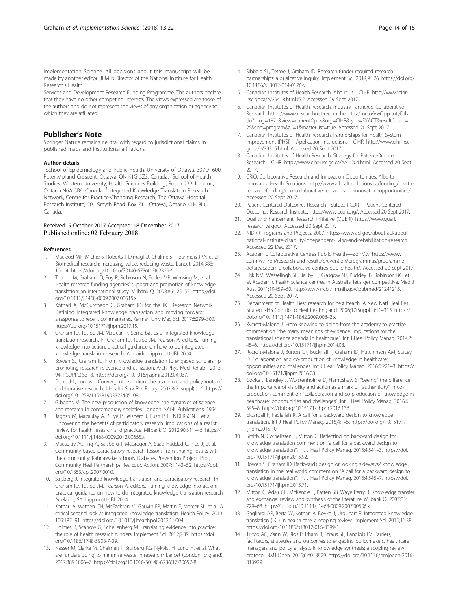<span id="page-13-0"></span>Implementation Science. All decisions about this manuscript will be made by another editor. JRM is Director of the National Institute for Health Research's Health

Services and Development Research Funding Programme. The authors declare that they have no other competing interests. The views expressed are those of the authors and do not represent the views of any organization or agency to which they are affiliated.

# Publisher's Note

Springer Nature remains neutral with regard to jurisdictional claims in published maps and institutional affiliations.

# Author details

<sup>1</sup>School of Epidemiology and Public Health, University of Ottawa, 307D- 600 Peter Morand Crescent, Ottawa, ON K1G 5Z3, Canada. <sup>2</sup>School of Health Studies, Western University, Health Sciences Building, Room 222, London, Ontario N6A 5B9, Canada. <sup>3</sup>Integrated Knowledge Translation Research Network, Centre for Practice-Changing Research, The Ottawa Hospital Research Institute, 501 Smyth Road, Box 711, Ottawa, Ontario K1H 8L6, Canada.

# Received: 5 October 2017 Accepted: 18 December 2017 Published online: 02 February 2018

# References

- 1. Macleod MR, Michie S, Roberts I, Dirnagl U, Chalmers I, Ioannidis JPA, et al. Biomedical research: increasing value, reducing waste. Lancet. 2014;383: 101–4. [https://doi.org/10.1016/S0140-6736\(13\)62329-6](http://dx.doi.org/10.1016/S0140-6736(13)62329-6).
- 2. Tetroe JM, Graham ID, Foy R, Robinson N, Eccles MP, Wensing M, et al. Health research funding agencies' support and promotion of knowledge translation: an international study. Milbank Q. 2008;86:125–55. [https://doi.](http://dx.doi.org/10.1111/j.1468-0009.2007.00515.x) [org/10.1111/j.1468-0009.2007.00515.x](http://dx.doi.org/10.1111/j.1468-0009.2007.00515.x).
- Kothari A, McCutcheon C, Graham ID; for the IKT Research Network. Defining integrated knowledge translation and moving forward: a response to recent commentaries. Kerman Univ Med Sci. 2017;6:299–300. [https://doi.org/10.15171/ijhpm.2017.15](http://dx.doi.org/10.15171/ijhpm.2017.15).
- 4. Graham ID, Tetroe JM, Maclean R. Some basics of integrated knowledge translation research. In: Graham ID, Tetroe JM, Pearson A, editors. Turning knowledge into action: practical guidance on how to do integrated knowledge translation research. Adelaide: Lippincott-JBI; 2014.
- 5. Bowen SJ, Graham ID. From knowledge translation to engaged scholarship: promoting research relevance and utilization. Arch Phys Med Rehabil. 2013; 94(1 SUPPL):S3–8. [https://doi.org/10.1016/j.apmr.2012.04.037.](http://dx.doi.org/10.1016/j.apmr.2012.04.037)
- 6. Denis J-L, Lomas J. Convergent evolution: the academic and policy roots of collaborative research. J Health Serv Res Policy. 2003;8(2\_suppl):1–6. [https://](http://dx.doi.org/10.1258/135581903322405108) [doi.org/10.1258/135581903322405108.](http://dx.doi.org/10.1258/135581903322405108)
- 7. Gibbons M. The new production of knowledge: the dynamics of science and research in contemporary societies. London: SAGE Publications; 1994.
- 8. Jagosh M, Macaulay A, Pluye P, Salsberg J, Bush P, HENDERSON J, et al. Uncovering the benefits of participatory research: implications of a realist review for health research and practice. Milbank Q. 2012;90:311–46. [https://](http://dx.doi.org/10.1111/j.1468-0009.2012.00665.x) [doi.org/10.1111/j.1468-0009.2012.00665.x.](http://dx.doi.org/10.1111/j.1468-0009.2012.00665.x)
- Macaulay AC, Ing A, Salsberg J, McGregor A, Saad-Haddad C, Rice J, et al. Community-based participatory research: lessons from sharing results with the community: Kahnawake Schools Diabetes Prevention Project. Prog Community Heal Partnerships Res Educ Action. 2007;1:143–52. [https://doi.](http://dx.doi.org/10.1353/cpr.2007.0010) [org/10.1353/cpr.2007.0010.](http://dx.doi.org/10.1353/cpr.2007.0010)
- 10. Salsberg J. Integrated knowledge translation and participatory research. In: Graham ID, Tetroe JM, Pearson A, editors. Turning knowledge into action: practical guidance on how to do integrated knowledge translation research. Adelaide, SA: Lippincott-JBI; 2014.
- 11. Kothari A, Wathen CN, McEachran M, Gauvin FP, Martin E, Mercer SL, et al. A critical second look at integrated knowledge translation. Health Policy. 2013; 109:187–91. [https://doi.org/10.1016/j.healthpol.2012.11.004](http://dx.doi.org/10.1016/j.healthpol.2012.11.004).
- 12. Holmes B, Scarrow G, Schellenberg M. Translating evidence into practice: the role of health research funders. Implement Sci. 2012;7:39. [https://doi.](http://dx.doi.org/10.1186/1748-5908-7-39) [org/10.1186/1748-5908-7-39.](http://dx.doi.org/10.1186/1748-5908-7-39)
- 13. Nasser M, Clarke M, Chalmers I, Brurberg KG, Nykvist H, Lund H, et al. What are funders doing to minimise waste in research? Lancet (London, England). 2017;389:1006–7. [https://doi.org/10.1016/S0140-6736\(17\)30657-8.](http://dx.doi.org/10.1016/S0140-6736(17)30657-8)
- 14. Sibbald SL, Tetroe J, Graham ID. Research funder required research partnerships: a qualitative inquiry. Implement Sci. 2014;9:176. [https://doi.org/](http://dx.doi.org/10.1186/s13012-014-0176-y) [10.1186/s13012-014-0176-y.](http://dx.doi.org/10.1186/s13012-014-0176-y)
- 15. Canadian Institutes of Health Research. About us—CIHR. [http://www.cihr](http://www.cihr-irsc.gc.ca/e/29418.html#5.2)[irsc.gc.ca/e/29418.html#5.2.](http://www.cihr-irsc.gc.ca/e/29418.html#5.2) Accessed 29 Sept 2017.
- 16. Canadian Institutes of Health Research. Industry-Partnered Collaborative Research. [https://www.researchnet-recherchenet.ca/rnr16/vwOpprtntyDtls.](https://www.researchnet-recherchenet.ca/rnr16/vwOpprtntyDtls.do?prog=1871&view=currentOpps&org=CIHR&type=EXACT&resultCount=25&sort=program&all=1&masterList=true) [do?prog=1871&view=currentOpps&org=CIHR&type=EXACT&resultCount=](https://www.researchnet-recherchenet.ca/rnr16/vwOpprtntyDtls.do?prog=1871&view=currentOpps&org=CIHR&type=EXACT&resultCount=25&sort=program&all=1&masterList=true) [25&sort=program&all=1&masterList=true.](https://www.researchnet-recherchenet.ca/rnr16/vwOpprtntyDtls.do?prog=1871&view=currentOpps&org=CIHR&type=EXACT&resultCount=25&sort=program&all=1&masterList=true) Accessed 20 Sept 2017.
- 17. Canadian Institutes of Health Research. Partnerships for Health System Improvement (PHSI)—Application Instructions—CIHR. [http://www.cihr-irsc.](http://www.cihr-irsc.gc.ca/e/39315.html) [gc.ca/e/39315.html.](http://www.cihr-irsc.gc.ca/e/39315.html) Accessed 20 Sept 2017.
- 18. Canadian Institutes of Health Research. Strategy for Patient-Oriented Research—CIHR. [http://www.cihr-irsc.gc.ca/e/41204.html.](http://www.cihr-irsc.gc.ca/e/41204.html) Accessed 20 Sept 2017.
- 19. CRIO: Collaborative Research and Innovation Opportunities. Alberta Innovates: Health Solutions. [http://www.aihealthsolutions.ca/funding/health](http://www.aihealthsolutions.ca/funding/health-research-funding/crio-collaborative-research-and-innovation-opportunities)[research-funding/crio-collaborative-research-and-innovation-opportunities/.](http://www.aihealthsolutions.ca/funding/health-research-funding/crio-collaborative-research-and-innovation-opportunities) Accessed 20 Sept 2017.
- 20. Patient-Centered Outcomes Research Institute. PCORI—Patient-Centered Outcomes Research Institute. [https://www.pcori.org/.](https://www.pcori.org/) Accessed 20 Sept 2017.
- 21. Quality Enhancement Research Initiative (QUERI). [https://www.queri.](https://www.queri.research.va.gov) [research.va.gov/](https://www.queri.research.va.gov). Accessed 20 Sept 2017.
- 22. NIDRR Programs and Projects. 2007. [https://www.acl.gov/about-acl/about](https://www.acl.gov/about-acl/about-national-institute-disability-independent-living-and-rehabilitation-research)[national-institute-disability-independent-living-and-rehabilitation-research.](https://www.acl.gov/about-acl/about-national-institute-disability-independent-living-and-rehabilitation-research) Accessed 22 Dec 2017.
- 23. Academic Collaborative Centres Public Health—ZonMw. [https://www.](https://www.zonmw.nl/en/research-and-results/prevention/programmas/programme-detail/academic-collaborative-centres-public-health) [zonmw.nl/en/research-and-results/prevention/programmas/programme](https://www.zonmw.nl/en/research-and-results/prevention/programmas/programme-detail/academic-collaborative-centres-public-health)[detail/academic-collaborative-centres-public-health/.](https://www.zonmw.nl/en/research-and-results/prevention/programmas/programme-detail/academic-collaborative-centres-public-health) Accessed 20 Sept 2017.
- 24. Fisk NM, Wesselingh SL, Beilby JJ, Glasgow NJ, Puddey IB, Robinson BG, et al. Academic health science centres in Australia: let's get competitive. Med J Aust 2011;194:59–60. <http://www.ncbi.nlm.nih.gov/pubmed/21241215>. Accessed 20 Sept 2017.
- 25. Department of Health. Best research for best health. A New Natl Heal Res Strateg NHS Contrib to Heal Res England. 2006;17(Suppl.1):11–315. [https://](http://dx.doi.org/10.1111/j.1471-1842.2009.00842.x) [doi.org/10.1111/j.1471-1842.2009.00842.x.](http://dx.doi.org/10.1111/j.1471-1842.2009.00842.x)
- 26. Rycroft-Malone J. From knowing to doing-from the academy to practice comment on "the many meanings of evidence: implications for the translational science agenda in healthcare". Int J Heal Policy Manag. 2014;2: 45–6. [https://doi.org/10.15171/ijhpm.2014.08.](http://dx.doi.org/10.15171/ijhpm.2014.08)
- 27. Rycroft-Malone J, Burton CR, Bucknall T, Graham ID, Hutchinson AM, Stacey D. Collaboration and co-production of knowledge in healthcare: opportunities and challenges. Int J Heal Policy Manag. 2016;5:221–3. [https://](http://dx.doi.org/10.15171/ijhpm.2016.08) [doi.org/10.15171/ijhpm.2016.08.](http://dx.doi.org/10.15171/ijhpm.2016.08)
- 28. Cooke J, Langley J, Wolstenholme D, Hampshaw S. "Seeing" the difference: the importance of visibility and action as a mark of "authenticity" in coproduction comment on "collaboration and co-production of knowledge in healthcare: opportunities and challenges". Int J Heal Policy Manag. 2016;6: 345–8. [https://doi.org/10.15171/ijhpm.2016.136.](http://dx.doi.org/10.15171/ijhpm.2016.136)
- 29. El-Jardali F, Fadlallah R. A call for a backward design to knowledge translation. Int J Heal Policy Manag. 2015;4:1–5. [https://doi.org/10.15171/](http://dx.doi.org/10.15171/ijhpm.2015.10) [ijhpm.2015.10.](http://dx.doi.org/10.15171/ijhpm.2015.10)
- 30. Smith N, Cornelissen E, Mitton C. Reflecting on backward design for knowledge translation comment on "a call for a backward design to knowledge translation". Int J Heal Policy Manag. 2015;4:541–3. [https://doi.](http://dx.doi.org/10.15171/ijhpm.2015.92) [org/10.15171/ijhpm.2015.92.](http://dx.doi.org/10.15171/ijhpm.2015.92)
- 31. Bowen S, Graham ID. Backwards design or looking sideways? knowledge translation in the real world comment on "A call for a backward design to knowledge translation". Int J Heal Policy Manag. 2015;4:545–7. [https://doi.](http://dx.doi.org/10.15171/ijhpm.2015.71) [org/10.15171/ijhpm.2015.71.](http://dx.doi.org/10.15171/ijhpm.2015.71)
- 32. Mitton C, Adair CE, McKenzie E, Patten SB, Waye Perry B. Knowledge transfer and exchange: review and synthesis of the literature. Milbank Q. 2007;85: 729–68. [https://doi.org/10.1111/j.1468-0009.2007.00506.x](http://dx.doi.org/10.1111/j.1468-0009.2007.00506.x).
- 33. Gagliardi AR, Berta W, Kothari A, Boyko J, Urquhart R. Integrated knowledge translation (IKT) in health care: a scoping review. Implement Sci. 2015;11:38. [https://doi.org/10.1186/s13012-016-0399-1](http://dx.doi.org/10.1186/s13012-016-0399-1).
- 34. Tricco AC, Zarin W, Rios P, Pham B, Straus SE, Langlois EV. Barriers, facilitators, strategies and outcomes to engaging policymakers, healthcare managers and policy analysts in knowledge synthesis: a scoping review protocol. BMJ Open. 2016;6:e013929. [https://doi.org/10.1136/bmjopen-2016-](http://dx.doi.org/10.1136/bmjopen-2016-013929) [013929](http://dx.doi.org/10.1136/bmjopen-2016-013929).